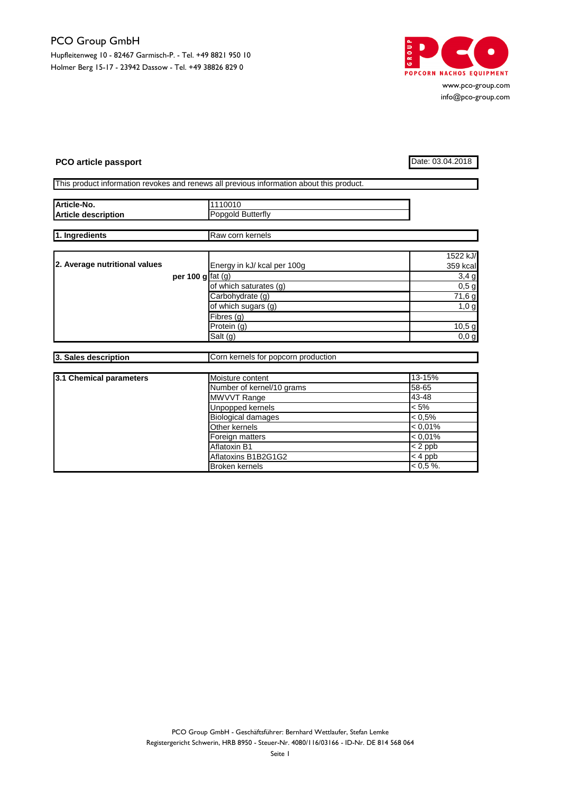

www.pco-group.com info@pco-group.com

## **PCO article passport** Date: 03.04.2018

|  | This product information revokes and renews all previous information about this product. |  |  |  |  |
|--|------------------------------------------------------------------------------------------|--|--|--|--|

| Article-No.                   |                    | 1110010                             |              |  |  |  |
|-------------------------------|--------------------|-------------------------------------|--------------|--|--|--|
| <b>Article description</b>    |                    | Popgold Butterfly                   |              |  |  |  |
|                               |                    | Raw corn kernels                    |              |  |  |  |
| 1. Ingredients                |                    |                                     |              |  |  |  |
|                               |                    |                                     | 1522 kJ/     |  |  |  |
| 2. Average nutritional values |                    | Energy in kJ/ kcal per 100g         | 359 kcal     |  |  |  |
|                               | per 100 g $fat(g)$ |                                     | 3,4g         |  |  |  |
|                               |                    | of which saturates (g)              | $0,5$ g      |  |  |  |
|                               |                    | Carbohydrate (g)                    | 71,6g        |  |  |  |
|                               |                    | of which sugars (g)                 | 1,0 g        |  |  |  |
|                               |                    | Fibres (g)                          |              |  |  |  |
|                               |                    | Protein (g)                         | 10,5g        |  |  |  |
|                               |                    | Salt (g)                            | 0,0,g        |  |  |  |
|                               |                    |                                     |              |  |  |  |
| 3. Sales description          |                    | Corn kernels for popcorn production |              |  |  |  |
|                               |                    |                                     |              |  |  |  |
| 3.1 Chemical parameters       |                    | Moisture content                    | 13-15%       |  |  |  |
|                               |                    | Number of kernel/10 grams           | 58-65        |  |  |  |
|                               |                    | MWVVT Range                         | 43-48        |  |  |  |
|                               |                    | <b>Unpopped kernels</b>             | $< 5\%$      |  |  |  |
|                               |                    | <b>Biological damages</b>           | $< 0.5\%$    |  |  |  |
|                               |                    | Other kernels                       | < 0.01%      |  |  |  |
|                               |                    | Foreign matters                     | $< 0.01\%$   |  |  |  |
|                               |                    | Aflatoxin B1                        | $< 2$ ppb    |  |  |  |
|                               |                    | Aflatoxins B1B2G1G2                 | $< 4$ ppb    |  |  |  |
|                               |                    | <b>Broken kernels</b>               | $< 0.5 \%$ . |  |  |  |